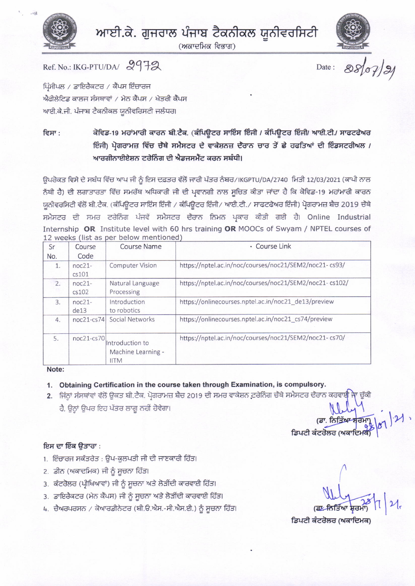

## ਆਈ.ਕੇ. ਗੁਜਰਾਲ ਪੰਜਾਬ ਟੈਕਨੀਕਲ ਯੂਨੀਵਰਸਿਟੀ

(ਅਕਾਦਮਿਕ ਵਿਭਾਗ)



28/07/21 Date:

Ref. No.: IKG-PTU/DA/ 2972

ਪ੍ਰਿੰਸੀਪਲ / ਡਾਇਰੈਕਟਰ / ਕੈਂਪਸ ਇੰਚਾਰਜ ਐਫੀਲੇਟਿਡ ਕਾਲਜ ਸੰਸਥਾਵਾਂ / ਮੇਨ ਕੈਂਪਸ / ਖੇਤਰੀ ਕੈਂਪਸ ਆਈ.ਕੇ.ਜੀ. ਪੰਜਾਬ ਟੈਕਨੀਕਲ ਯੂਨੀਵਰਿਸਟੀ ਜਲੰਧਰ।

ਕੋਵਿਡ-19 ਮਹਾਂਮਾਰੀ ਕਾਰਨ ਬੀ.ਟੈਕ. (ਕੰਪਿਊਟਰ ਸਾਇੰਸ ਇੰਜੀ / ਕੰਪਿਊਟਰ ਇੰਜੀ/ ਆਈ.ਟੀ./ ਸਾਫਟਫੇਅਰ ਵਿਸਾ : ਇੰਜੀ) ਪ੍ਰੋਗਰਾਮਜ਼ ਵਿੱਚ ਚੌਥੇ ਸਮੈਸਟਰ ਦੇ ਵਾਕੇਸ਼ਨਜ਼ ਦੌਰਾਨ ਚਾਰ ਤੋਂ ਛੇ ਹਫਤਿਆਂ ਦੀ ਇੰਡਸਟਰੀਅਲ / ਆਰਗੀਨਾਈਏਸ਼ਨ ਟਰੇਨਿੰਗ ਦੀ ਐਡਜਸਮੈਂਟ ਕਰਨ ਸਬੰਧੀ।

ਉਪਰੋਕਤ ਵਿਸੇ ਦੇ ਸਬੰਧ ਵਿੱਚ ਆਪ ਜੀ ਨੂੰ ਇਸ ਦਫ਼ਤਰ ਵੱਲੋਂ ਜਾਰੀ ਪੱਤਰ ਨੰਬਰ/IKGPTU/DA/2740 ਮਿਤੀ 12/03/2021 (ਕਾਪੀ ਨਾਲ ਨੱਥੀ ਹੈ) ਦੀ ਲਗਾਤਾਰਤਾ ਵਿੱਚ ਸਮਰੱਥ ਅਧਿਕਾਰੀ ਜੀ ਦੀ ਪ੍ਰਵਾਨਗੀ ਨਾਲ ਸੂਚਿਤ ਕੀਤਾ ਜਾਂਦਾ ਹੈ ਕਿ ਕੋਵਿਡ-19 ਮਹਾਂਮਾਰੀ ਕਾਰਨ ਯੂਨੀਵਰਸਿਟੀ ਵੱਲੋਂ ਬੀ.ਟੈਕ. (ਕੰਪਿਊਟਰ ਸਾਇੰਸ ਇੰਜੀ / ਕੰਪਿਊਟਰ ਇੰਜੀ/ ਆਈ.ਟੀ./ ਸਾਫਟਫੇਅਰ ਇੰਜੀ) ਪ੍ਰੋਗਰਾਮਜ਼ ਬੈਚ 2019 ਚੇਥੇ ਸਮੈਸਟਰ ਦੀ ਸਮਰ ਟਰੇਨਿੰਗ ਪੰਜਵੇਂ ਸਮੈਸਟਰ ਦੌਰਾਨ ਨਿਮਨ ਪ੍ਰਕਾਰ ਕੀਤੀ ਗਈ ਹੈ। Online Industrial Internship OR Institute level with 60 hrs training OR MOOCs of Swyam / NPTEL courses of 12 weeks (list as per below mentioned)

| Sr  | Course            | <b>Course Name</b>                                   | • Course Link                                           |
|-----|-------------------|------------------------------------------------------|---------------------------------------------------------|
| No. | Code              |                                                      |                                                         |
| 1.  | $noc21-$<br>cs101 | <b>Computer Vision</b>                               | https://nptel.ac.in/noc/courses/noc21/SEM2/noc21-cs93/  |
| 2.  | $noc21-$<br>cs102 | Natural Language<br>Processing                       | https://nptel.ac.in/noc/courses/noc21/SEM2/noc21-cs102/ |
| 3.  | $noc21-$<br>de13  | Introduction<br>to robotics                          | https://onlinecourses.nptel.ac.in/noc21_de13/preview    |
| 4.  | $noc21-cs74$      | Social Networks                                      | https://onlinecourses.nptel.ac.in/noc21_cs74/preview    |
| 5.  | $noc21-cs70$      | Introduction to<br>Machine Learning -<br><b>IITM</b> | https://nptel.ac.in/noc/courses/noc21/SEM2/noc21-cs70/  |

## Note:

- 1. Obtaining Certification in the course taken through Examination, is compulsory.
- 2. ਜਿੰਨ੍ਹਾਂ ਸੰਸਥਾਂਵਾਂ ਵੱਲੋਂ ਉਕਤ ਬੀ.ਟੈਕ. ਪ੍ਰੋਗਰਾਮਜ਼ ਬੈਚ 2019 ਦੀ ਸਮਰ ਵਾਕੇਸ਼ਨ ਟਰੇਨਿੰਗ ਚੰਥੇ ਸਮੈਸਟਰ ਦੌਰਾਨ ਕਰਵਾਈ ਹੈ, ਉਨ੍ਹਾਂ ਉਪਰ ਇਹ ਪੱਤਰ ਲਾਗੂ ਨਹੀਂ ਹੋਵੇਗਾ।

## ਇਸ ਦਾ ਇੱਕ ਉਤਾਰਾ:

- 1. ਇੰਚਾਰਜ ਸਕੱਤਰੇਤ : ਉਪ-ਕੁਲਪਤੀ ਜੀ ਦੀ ਜਾਣਕਾਰੀ ਹਿੱਤ।
- 2. ਡੀਨ (ਅਕਾਦਮਿਕ) ਜੀ ਨੂੰ ਸੂਚਨਾ ਹਿੱਤ।
- 3. ਕੰਟਰੋਲਰ (ਪ੍ਰੀਖਿਆਵਾਂ) ਜੀ ਨੂੰ ਸੂਚਨਾ ਅਤੇ ਲੋੜੀਂਦੀ ਕਾਰਵਾਈ ਹਿੱਤ।
- 3. ਡਾਇਰੈਕਟਰ (ਮੇਨ ਕੈਂਪਸ) ਜੀ ਨੂੰ ਸੂਚਨਾ ਅਤੇ ਲੋੜੀਂਦੀ ਕਾਰਵਾਈ ਹਿੱਤ।
- 4. ਚੈਅਰਪਰਸਨ / ਕੋਆਰਡੀਨੇਟਰ (ਬੀ.ਓ.ਐਸ.-ਸੀ.ਐਸ.ਈ.) ਨੂੰ ਸੂਚਨਾ ਹਿੱਤ।

ਡਿਪਟੀ ਕੰਟਰੋਲਰ (ਅਕਾਦਿਮਕ)

ਡਿਪਟੀ ਕੰਟਰੋਲਰ (ਅਕਾਦਿ)